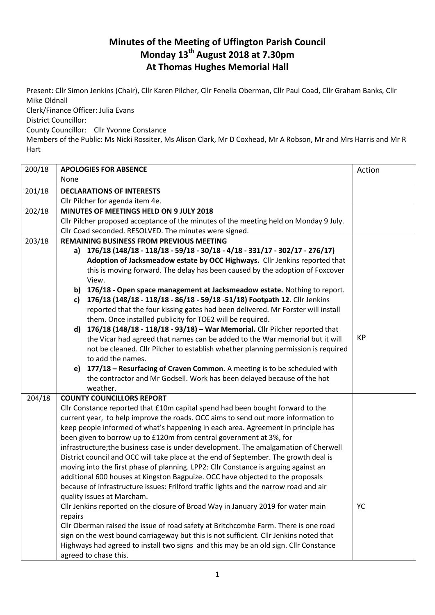## **Minutes of the Meeting of Uffington Parish Council Monday 13th August 2018 at 7.30pm At Thomas Hughes Memorial Hall**

Present: Cllr Simon Jenkins (Chair), Cllr Karen Pilcher, Cllr Fenella Oberman, Cllr Paul Coad, Cllr Graham Banks, Cllr Mike Oldnall

Clerk/Finance Officer: Julia Evans

District Councillor:

County Councillor: Cllr Yvonne Constance

Members of the Public: Ms Nicki Rossiter, Ms Alison Clark, Mr D Coxhead, Mr A Robson, Mr and Mrs Harris and Mr R Hart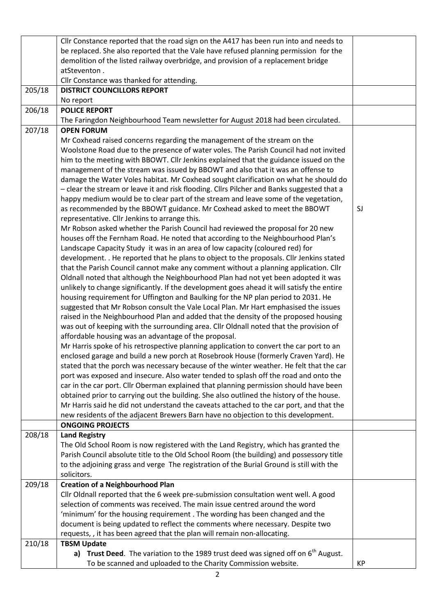|        | Cllr Constance reported that the road sign on the A417 has been run into and needs to            |    |  |  |  |  |
|--------|--------------------------------------------------------------------------------------------------|----|--|--|--|--|
|        | be replaced. She also reported that the Vale have refused planning permission for the            |    |  |  |  |  |
|        | demolition of the listed railway overbridge, and provision of a replacement bridge               |    |  |  |  |  |
|        | atSteventon.                                                                                     |    |  |  |  |  |
|        | Cllr Constance was thanked for attending.                                                        |    |  |  |  |  |
| 205/18 | <b>DISTRICT COUNCILLORS REPORT</b>                                                               |    |  |  |  |  |
|        | No report                                                                                        |    |  |  |  |  |
| 206/18 | <b>POLICE REPORT</b>                                                                             |    |  |  |  |  |
|        | The Faringdon Neighbourhood Team newsletter for August 2018 had been circulated.                 |    |  |  |  |  |
| 207/18 | <b>OPEN FORUM</b>                                                                                |    |  |  |  |  |
|        | Mr Coxhead raised concerns regarding the management of the stream on the                         |    |  |  |  |  |
|        | Woolstone Road due to the presence of water voles. The Parish Council had not invited            |    |  |  |  |  |
|        | him to the meeting with BBOWT. Cllr Jenkins explained that the guidance issued on the            |    |  |  |  |  |
|        | management of the stream was issued by BBOWT and also that it was an offense to                  |    |  |  |  |  |
|        | damage the Water Voles habitat. Mr Coxhead sought clarification on what he should do             |    |  |  |  |  |
|        | - clear the stream or leave it and risk flooding. Cllrs Pilcher and Banks suggested that a       |    |  |  |  |  |
|        | happy medium would be to clear part of the stream and leave some of the vegetation,              |    |  |  |  |  |
|        | as recommended by the BBOWT guidance. Mr Coxhead asked to meet the BBOWT                         | SJ |  |  |  |  |
|        | representative. Cllr Jenkins to arrange this.                                                    |    |  |  |  |  |
|        | Mr Robson asked whether the Parish Council had reviewed the proposal for 20 new                  |    |  |  |  |  |
|        | houses off the Fernham Road. He noted that according to the Neighbourhood Plan's                 |    |  |  |  |  |
|        | Landscape Capacity Study it was in an area of low capacity (coloured red) for                    |    |  |  |  |  |
|        | development. . He reported that he plans to object to the proposals. Cllr Jenkins stated         |    |  |  |  |  |
|        | that the Parish Council cannot make any comment without a planning application. Cllr             |    |  |  |  |  |
|        | Oldnall noted that although the Neighbourhood Plan had not yet been adopted it was               |    |  |  |  |  |
|        | unlikely to change significantly. If the development goes ahead it will satisfy the entire       |    |  |  |  |  |
|        | housing requirement for Uffington and Baulking for the NP plan period to 2031. He                |    |  |  |  |  |
|        | suggested that Mr Robson consult the Vale Local Plan. Mr Hart emphasised the issues              |    |  |  |  |  |
|        | raised in the Neighbourhood Plan and added that the density of the proposed housing              |    |  |  |  |  |
|        | was out of keeping with the surrounding area. Cllr Oldnall noted that the provision of           |    |  |  |  |  |
|        | affordable housing was an advantage of the proposal.                                             |    |  |  |  |  |
|        | Mr Harris spoke of his retrospective planning application to convert the car port to an          |    |  |  |  |  |
|        | enclosed garage and build a new porch at Rosebrook House (formerly Craven Yard). He              |    |  |  |  |  |
|        | stated that the porch was necessary because of the winter weather. He felt that the car          |    |  |  |  |  |
|        | port was exposed and insecure. Also water tended to splash off the road and onto the             |    |  |  |  |  |
|        | car in the car port. Cllr Oberman explained that planning permission should have been            |    |  |  |  |  |
|        | obtained prior to carrying out the building. She also outlined the history of the house.         |    |  |  |  |  |
|        | Mr Harris said he did not understand the caveats attached to the car port, and that the          |    |  |  |  |  |
|        | new residents of the adjacent Brewers Barn have no objection to this development.                |    |  |  |  |  |
|        | <b>ONGOING PROJECTS</b>                                                                          |    |  |  |  |  |
| 208/18 | <b>Land Registry</b>                                                                             |    |  |  |  |  |
|        | The Old School Room is now registered with the Land Registry, which has granted the              |    |  |  |  |  |
|        | Parish Council absolute title to the Old School Room (the building) and possessory title         |    |  |  |  |  |
|        | to the adjoining grass and verge The registration of the Burial Ground is still with the         |    |  |  |  |  |
|        | solicitors.                                                                                      |    |  |  |  |  |
| 209/18 | <b>Creation of a Neighbourhood Plan</b>                                                          |    |  |  |  |  |
|        | Cllr Oldnall reported that the 6 week pre-submission consultation went well. A good              |    |  |  |  |  |
|        | selection of comments was received. The main issue centred around the word                       |    |  |  |  |  |
|        | 'minimum' for the housing requirement. The wording has been changed and the                      |    |  |  |  |  |
|        | document is being updated to reflect the comments where necessary. Despite two                   |    |  |  |  |  |
|        | requests, , it has been agreed that the plan will remain non-allocating.<br><b>TBSM Update</b>   |    |  |  |  |  |
| 210/18 |                                                                                                  |    |  |  |  |  |
|        | Trust Deed. The variation to the 1989 trust deed was signed off on 6 <sup>th</sup> August.<br>a) |    |  |  |  |  |
|        | To be scanned and uploaded to the Charity Commission website.                                    | KP |  |  |  |  |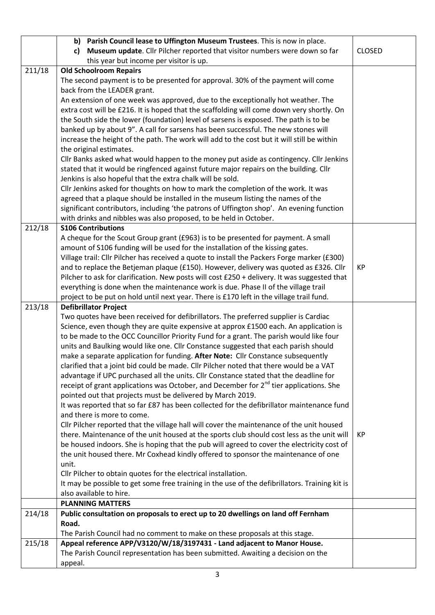|        | b) Parish Council lease to Uffington Museum Trustees. This is now in place.                                                                                                             |               |
|--------|-----------------------------------------------------------------------------------------------------------------------------------------------------------------------------------------|---------------|
|        | Museum update. Cllr Pilcher reported that visitor numbers were down so far<br>c)                                                                                                        | <b>CLOSED</b> |
|        | this year but income per visitor is up.                                                                                                                                                 |               |
| 211/18 | <b>Old Schoolroom Repairs</b>                                                                                                                                                           |               |
|        | The second payment is to be presented for approval. 30% of the payment will come                                                                                                        |               |
|        | back from the LEADER grant.                                                                                                                                                             |               |
|        | An extension of one week was approved, due to the exceptionally hot weather. The                                                                                                        |               |
|        | extra cost will be £216. It is hoped that the scaffolding will come down very shortly. On                                                                                               |               |
|        | the South side the lower (foundation) level of sarsens is exposed. The path is to be                                                                                                    |               |
|        | banked up by about 9". A call for sarsens has been successful. The new stones will                                                                                                      |               |
|        | increase the height of the path. The work will add to the cost but it will still be within                                                                                              |               |
|        | the original estimates.                                                                                                                                                                 |               |
|        | Cllr Banks asked what would happen to the money put aside as contingency. Cllr Jenkins                                                                                                  |               |
|        | stated that it would be ringfenced against future major repairs on the building. Cllr                                                                                                   |               |
|        | Jenkins is also hopeful that the extra chalk will be sold.                                                                                                                              |               |
|        | Cllr Jenkins asked for thoughts on how to mark the completion of the work. It was                                                                                                       |               |
|        | agreed that a plaque should be installed in the museum listing the names of the                                                                                                         |               |
|        | significant contributors, including 'the patrons of Uffington shop'. An evening function                                                                                                |               |
|        | with drinks and nibbles was also proposed, to be held in October.<br><b>S106 Contributions</b>                                                                                          |               |
| 212/18 | A cheque for the Scout Group grant (£963) is to be presented for payment. A small                                                                                                       |               |
|        | amount of S106 funding will be used for the installation of the kissing gates.                                                                                                          |               |
|        | Village trail: Cllr Pilcher has received a quote to install the Packers Forge marker (£300)                                                                                             |               |
|        | and to replace the Betjeman plaque (£150). However, delivery was quoted as £326. Cllr                                                                                                   | KP            |
|        | Pilcher to ask for clarification. New posts will cost £250 + delivery. It was suggested that                                                                                            |               |
|        | everything is done when the maintenance work is due. Phase II of the village trail                                                                                                      |               |
|        | project to be put on hold until next year. There is £170 left in the village trail fund.                                                                                                |               |
| 213/18 | <b>Defibrillator Project</b>                                                                                                                                                            |               |
|        | Two quotes have been received for defibrillators. The preferred supplier is Cardiac                                                                                                     |               |
|        | Science, even though they are quite expensive at approx £1500 each. An application is                                                                                                   |               |
|        | to be made to the OCC Councillor Priority Fund for a grant. The parish would like four                                                                                                  |               |
|        | units and Baulking would like one. Cllr Constance suggested that each parish should                                                                                                     |               |
|        | make a separate application for funding. After Note: Cllr Constance subsequently                                                                                                        |               |
|        | clarified that a joint bid could be made. Cllr Pilcher noted that there would be a VAT                                                                                                  |               |
|        | advantage if UPC purchased all the units. Cllr Constance stated that the deadline for                                                                                                   |               |
|        | receipt of grant applications was October, and December for 2 <sup>nd</sup> tier applications. She                                                                                      |               |
|        | pointed out that projects must be delivered by March 2019.                                                                                                                              |               |
|        | It was reported that so far £87 has been collected for the defibrillator maintenance fund                                                                                               |               |
|        | and there is more to come.                                                                                                                                                              |               |
|        | Cllr Pilcher reported that the village hall will cover the maintenance of the unit housed<br>there. Maintenance of the unit housed at the sports club should cost less as the unit will | KP            |
|        | be housed indoors. She is hoping that the pub will agreed to cover the electricity cost of                                                                                              |               |
|        | the unit housed there. Mr Coxhead kindly offered to sponsor the maintenance of one                                                                                                      |               |
|        | unit.                                                                                                                                                                                   |               |
|        | Cllr Pilcher to obtain quotes for the electrical installation.                                                                                                                          |               |
|        | It may be possible to get some free training in the use of the defibrillators. Training kit is                                                                                          |               |
|        | also available to hire.                                                                                                                                                                 |               |
|        | <b>PLANNING MATTERS</b>                                                                                                                                                                 |               |
| 214/18 | Public consultation on proposals to erect up to 20 dwellings on land off Fernham                                                                                                        |               |
|        | Road.                                                                                                                                                                                   |               |
|        | The Parish Council had no comment to make on these proposals at this stage.                                                                                                             |               |
| 215/18 | Appeal reference APP/V3120/W/18/3197431 - Land adjacent to Manor House.                                                                                                                 |               |
|        | The Parish Council representation has been submitted. Awaiting a decision on the                                                                                                        |               |
|        | appeal.                                                                                                                                                                                 |               |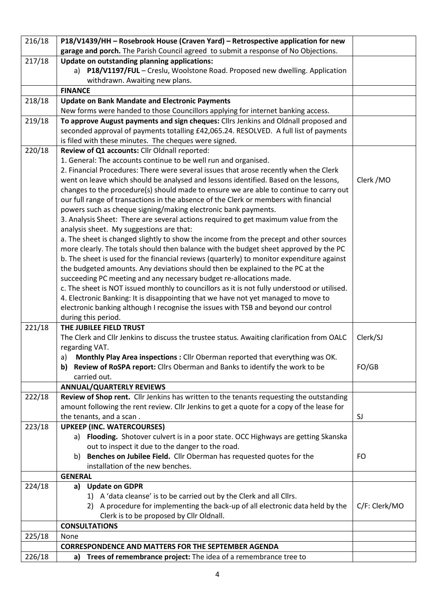| garage and porch. The Parish Council agreed to submit a response of No Objections.<br>217/18<br>Update on outstanding planning applications:<br>a) P18/V1197/FUL - Creslu, Woolstone Road. Proposed new dwelling. Application<br>withdrawn. Awaiting new plans.<br><b>FINANCE</b><br>218/18<br><b>Update on Bank Mandate and Electronic Payments</b><br>New forms were handed to those Councillors applying for internet banking access.<br>To approve August payments and sign cheques: Cllrs Jenkins and Oldnall proposed and<br>219/18<br>seconded approval of payments totalling £42,065.24. RESOLVED. A full list of payments<br>is filed with these minutes. The cheques were signed.<br>220/18<br>Review of Q1 accounts: Cllr Oldnall reported:<br>1. General: The accounts continue to be well run and organised.<br>2. Financial Procedures: There were several issues that arose recently when the Clerk<br>went on leave which should be analysed and lessons identified. Based on the lessons,<br>Clerk / MO<br>changes to the procedure(s) should made to ensure we are able to continue to carry out<br>our full range of transactions in the absence of the Clerk or members with financial<br>powers such as cheque signing/making electronic bank payments.<br>3. Analysis Sheet: There are several actions required to get maximum value from the<br>analysis sheet. My suggestions are that:<br>a. The sheet is changed slightly to show the income from the precept and other sources<br>more clearly. The totals should then balance with the budget sheet approved by the PC<br>b. The sheet is used for the financial reviews (quarterly) to monitor expenditure against<br>the budgeted amounts. Any deviations should then be explained to the PC at the<br>succeeding PC meeting and any necessary budget re-allocations made.<br>c. The sheet is NOT issued monthly to councillors as it is not fully understood or utilised.<br>4. Electronic Banking: It is disappointing that we have not yet managed to move to<br>electronic banking although I recognise the issues with TSB and beyond our control<br>during this period.<br>221/18<br>THE JUBILEE FIELD TRUST<br>The Clerk and Cllr Jenkins to discuss the trustee status. Awaiting clarification from OALC<br>Clerk/SJ<br>regarding VAT.<br>Monthly Play Area inspections : Cllr Oberman reported that everything was OK.<br>a)<br>FO/GB<br>Review of RoSPA report: Cllrs Oberman and Banks to identify the work to be<br>b)<br>carried out.<br><b>ANNUAL/QUARTERLY REVIEWS</b><br>222/18<br>Review of Shop rent. Cllr Jenkins has written to the tenants requesting the outstanding<br>amount following the rent review. Cllr Jenkins to get a quote for a copy of the lease for<br>the tenants, and a scan.<br>SJ<br><b>UPKEEP (INC. WATERCOURSES)</b><br>223/18<br>a) Flooding. Shotover culvert is in a poor state. OCC Highways are getting Skanska<br>out to inspect it due to the danger to the road.<br>Benches on Jubilee Field. Cllr Oberman has requested quotes for the<br><b>FO</b><br>b)<br>installation of the new benches.<br><b>GENERAL</b><br>224/18<br><b>Update on GDPR</b><br>a)<br>1) A 'data cleanse' is to be carried out by the Clerk and all Cllrs.<br>2) A procedure for implementing the back-up of all electronic data held by the<br>C/F: Clerk/MO<br>Clerk is to be proposed by Cllr Oldnall.<br><b>CONSULTATIONS</b><br>225/18<br>None<br><b>CORRESPONDENCE AND MATTERS FOR THE SEPTEMBER AGENDA</b><br>a) | 216/18 | P18/V1439/HH - Rosebrook House (Craven Yard) - Retrospective application for new |  |  |  |
|--------------------------------------------------------------------------------------------------------------------------------------------------------------------------------------------------------------------------------------------------------------------------------------------------------------------------------------------------------------------------------------------------------------------------------------------------------------------------------------------------------------------------------------------------------------------------------------------------------------------------------------------------------------------------------------------------------------------------------------------------------------------------------------------------------------------------------------------------------------------------------------------------------------------------------------------------------------------------------------------------------------------------------------------------------------------------------------------------------------------------------------------------------------------------------------------------------------------------------------------------------------------------------------------------------------------------------------------------------------------------------------------------------------------------------------------------------------------------------------------------------------------------------------------------------------------------------------------------------------------------------------------------------------------------------------------------------------------------------------------------------------------------------------------------------------------------------------------------------------------------------------------------------------------------------------------------------------------------------------------------------------------------------------------------------------------------------------------------------------------------------------------------------------------------------------------------------------------------------------------------------------------------------------------------------------------------------------------------------------------------------------------------------------------------------------------------------------------------------------------------------------------------------------------------------------------------------------------------------------------------------------------------------------------------------------------------------------------------------------------------------------------------------------------------------------------------------------------------------------------------------------------------------------------------------------------------------------------------------------------------------------------------------------------------------------------------------------------------------------------------------------------------------------------------------------------------------------------------------------------------------------------------------------------------------------------------------------------------------------------------------------------------------------------------------------------------------------------------------------------------------------------------------|--------|----------------------------------------------------------------------------------|--|--|--|
|                                                                                                                                                                                                                                                                                                                                                                                                                                                                                                                                                                                                                                                                                                                                                                                                                                                                                                                                                                                                                                                                                                                                                                                                                                                                                                                                                                                                                                                                                                                                                                                                                                                                                                                                                                                                                                                                                                                                                                                                                                                                                                                                                                                                                                                                                                                                                                                                                                                                                                                                                                                                                                                                                                                                                                                                                                                                                                                                                                                                                                                                                                                                                                                                                                                                                                                                                                                                                                                                                                                                |        |                                                                                  |  |  |  |
|                                                                                                                                                                                                                                                                                                                                                                                                                                                                                                                                                                                                                                                                                                                                                                                                                                                                                                                                                                                                                                                                                                                                                                                                                                                                                                                                                                                                                                                                                                                                                                                                                                                                                                                                                                                                                                                                                                                                                                                                                                                                                                                                                                                                                                                                                                                                                                                                                                                                                                                                                                                                                                                                                                                                                                                                                                                                                                                                                                                                                                                                                                                                                                                                                                                                                                                                                                                                                                                                                                                                |        |                                                                                  |  |  |  |
|                                                                                                                                                                                                                                                                                                                                                                                                                                                                                                                                                                                                                                                                                                                                                                                                                                                                                                                                                                                                                                                                                                                                                                                                                                                                                                                                                                                                                                                                                                                                                                                                                                                                                                                                                                                                                                                                                                                                                                                                                                                                                                                                                                                                                                                                                                                                                                                                                                                                                                                                                                                                                                                                                                                                                                                                                                                                                                                                                                                                                                                                                                                                                                                                                                                                                                                                                                                                                                                                                                                                |        |                                                                                  |  |  |  |
|                                                                                                                                                                                                                                                                                                                                                                                                                                                                                                                                                                                                                                                                                                                                                                                                                                                                                                                                                                                                                                                                                                                                                                                                                                                                                                                                                                                                                                                                                                                                                                                                                                                                                                                                                                                                                                                                                                                                                                                                                                                                                                                                                                                                                                                                                                                                                                                                                                                                                                                                                                                                                                                                                                                                                                                                                                                                                                                                                                                                                                                                                                                                                                                                                                                                                                                                                                                                                                                                                                                                |        |                                                                                  |  |  |  |
|                                                                                                                                                                                                                                                                                                                                                                                                                                                                                                                                                                                                                                                                                                                                                                                                                                                                                                                                                                                                                                                                                                                                                                                                                                                                                                                                                                                                                                                                                                                                                                                                                                                                                                                                                                                                                                                                                                                                                                                                                                                                                                                                                                                                                                                                                                                                                                                                                                                                                                                                                                                                                                                                                                                                                                                                                                                                                                                                                                                                                                                                                                                                                                                                                                                                                                                                                                                                                                                                                                                                |        |                                                                                  |  |  |  |
|                                                                                                                                                                                                                                                                                                                                                                                                                                                                                                                                                                                                                                                                                                                                                                                                                                                                                                                                                                                                                                                                                                                                                                                                                                                                                                                                                                                                                                                                                                                                                                                                                                                                                                                                                                                                                                                                                                                                                                                                                                                                                                                                                                                                                                                                                                                                                                                                                                                                                                                                                                                                                                                                                                                                                                                                                                                                                                                                                                                                                                                                                                                                                                                                                                                                                                                                                                                                                                                                                                                                |        |                                                                                  |  |  |  |
|                                                                                                                                                                                                                                                                                                                                                                                                                                                                                                                                                                                                                                                                                                                                                                                                                                                                                                                                                                                                                                                                                                                                                                                                                                                                                                                                                                                                                                                                                                                                                                                                                                                                                                                                                                                                                                                                                                                                                                                                                                                                                                                                                                                                                                                                                                                                                                                                                                                                                                                                                                                                                                                                                                                                                                                                                                                                                                                                                                                                                                                                                                                                                                                                                                                                                                                                                                                                                                                                                                                                |        |                                                                                  |  |  |  |
|                                                                                                                                                                                                                                                                                                                                                                                                                                                                                                                                                                                                                                                                                                                                                                                                                                                                                                                                                                                                                                                                                                                                                                                                                                                                                                                                                                                                                                                                                                                                                                                                                                                                                                                                                                                                                                                                                                                                                                                                                                                                                                                                                                                                                                                                                                                                                                                                                                                                                                                                                                                                                                                                                                                                                                                                                                                                                                                                                                                                                                                                                                                                                                                                                                                                                                                                                                                                                                                                                                                                |        |                                                                                  |  |  |  |
|                                                                                                                                                                                                                                                                                                                                                                                                                                                                                                                                                                                                                                                                                                                                                                                                                                                                                                                                                                                                                                                                                                                                                                                                                                                                                                                                                                                                                                                                                                                                                                                                                                                                                                                                                                                                                                                                                                                                                                                                                                                                                                                                                                                                                                                                                                                                                                                                                                                                                                                                                                                                                                                                                                                                                                                                                                                                                                                                                                                                                                                                                                                                                                                                                                                                                                                                                                                                                                                                                                                                |        |                                                                                  |  |  |  |
|                                                                                                                                                                                                                                                                                                                                                                                                                                                                                                                                                                                                                                                                                                                                                                                                                                                                                                                                                                                                                                                                                                                                                                                                                                                                                                                                                                                                                                                                                                                                                                                                                                                                                                                                                                                                                                                                                                                                                                                                                                                                                                                                                                                                                                                                                                                                                                                                                                                                                                                                                                                                                                                                                                                                                                                                                                                                                                                                                                                                                                                                                                                                                                                                                                                                                                                                                                                                                                                                                                                                |        |                                                                                  |  |  |  |
|                                                                                                                                                                                                                                                                                                                                                                                                                                                                                                                                                                                                                                                                                                                                                                                                                                                                                                                                                                                                                                                                                                                                                                                                                                                                                                                                                                                                                                                                                                                                                                                                                                                                                                                                                                                                                                                                                                                                                                                                                                                                                                                                                                                                                                                                                                                                                                                                                                                                                                                                                                                                                                                                                                                                                                                                                                                                                                                                                                                                                                                                                                                                                                                                                                                                                                                                                                                                                                                                                                                                |        |                                                                                  |  |  |  |
|                                                                                                                                                                                                                                                                                                                                                                                                                                                                                                                                                                                                                                                                                                                                                                                                                                                                                                                                                                                                                                                                                                                                                                                                                                                                                                                                                                                                                                                                                                                                                                                                                                                                                                                                                                                                                                                                                                                                                                                                                                                                                                                                                                                                                                                                                                                                                                                                                                                                                                                                                                                                                                                                                                                                                                                                                                                                                                                                                                                                                                                                                                                                                                                                                                                                                                                                                                                                                                                                                                                                |        |                                                                                  |  |  |  |
|                                                                                                                                                                                                                                                                                                                                                                                                                                                                                                                                                                                                                                                                                                                                                                                                                                                                                                                                                                                                                                                                                                                                                                                                                                                                                                                                                                                                                                                                                                                                                                                                                                                                                                                                                                                                                                                                                                                                                                                                                                                                                                                                                                                                                                                                                                                                                                                                                                                                                                                                                                                                                                                                                                                                                                                                                                                                                                                                                                                                                                                                                                                                                                                                                                                                                                                                                                                                                                                                                                                                |        |                                                                                  |  |  |  |
|                                                                                                                                                                                                                                                                                                                                                                                                                                                                                                                                                                                                                                                                                                                                                                                                                                                                                                                                                                                                                                                                                                                                                                                                                                                                                                                                                                                                                                                                                                                                                                                                                                                                                                                                                                                                                                                                                                                                                                                                                                                                                                                                                                                                                                                                                                                                                                                                                                                                                                                                                                                                                                                                                                                                                                                                                                                                                                                                                                                                                                                                                                                                                                                                                                                                                                                                                                                                                                                                                                                                |        |                                                                                  |  |  |  |
|                                                                                                                                                                                                                                                                                                                                                                                                                                                                                                                                                                                                                                                                                                                                                                                                                                                                                                                                                                                                                                                                                                                                                                                                                                                                                                                                                                                                                                                                                                                                                                                                                                                                                                                                                                                                                                                                                                                                                                                                                                                                                                                                                                                                                                                                                                                                                                                                                                                                                                                                                                                                                                                                                                                                                                                                                                                                                                                                                                                                                                                                                                                                                                                                                                                                                                                                                                                                                                                                                                                                |        |                                                                                  |  |  |  |
|                                                                                                                                                                                                                                                                                                                                                                                                                                                                                                                                                                                                                                                                                                                                                                                                                                                                                                                                                                                                                                                                                                                                                                                                                                                                                                                                                                                                                                                                                                                                                                                                                                                                                                                                                                                                                                                                                                                                                                                                                                                                                                                                                                                                                                                                                                                                                                                                                                                                                                                                                                                                                                                                                                                                                                                                                                                                                                                                                                                                                                                                                                                                                                                                                                                                                                                                                                                                                                                                                                                                |        |                                                                                  |  |  |  |
|                                                                                                                                                                                                                                                                                                                                                                                                                                                                                                                                                                                                                                                                                                                                                                                                                                                                                                                                                                                                                                                                                                                                                                                                                                                                                                                                                                                                                                                                                                                                                                                                                                                                                                                                                                                                                                                                                                                                                                                                                                                                                                                                                                                                                                                                                                                                                                                                                                                                                                                                                                                                                                                                                                                                                                                                                                                                                                                                                                                                                                                                                                                                                                                                                                                                                                                                                                                                                                                                                                                                |        |                                                                                  |  |  |  |
|                                                                                                                                                                                                                                                                                                                                                                                                                                                                                                                                                                                                                                                                                                                                                                                                                                                                                                                                                                                                                                                                                                                                                                                                                                                                                                                                                                                                                                                                                                                                                                                                                                                                                                                                                                                                                                                                                                                                                                                                                                                                                                                                                                                                                                                                                                                                                                                                                                                                                                                                                                                                                                                                                                                                                                                                                                                                                                                                                                                                                                                                                                                                                                                                                                                                                                                                                                                                                                                                                                                                |        |                                                                                  |  |  |  |
|                                                                                                                                                                                                                                                                                                                                                                                                                                                                                                                                                                                                                                                                                                                                                                                                                                                                                                                                                                                                                                                                                                                                                                                                                                                                                                                                                                                                                                                                                                                                                                                                                                                                                                                                                                                                                                                                                                                                                                                                                                                                                                                                                                                                                                                                                                                                                                                                                                                                                                                                                                                                                                                                                                                                                                                                                                                                                                                                                                                                                                                                                                                                                                                                                                                                                                                                                                                                                                                                                                                                |        |                                                                                  |  |  |  |
|                                                                                                                                                                                                                                                                                                                                                                                                                                                                                                                                                                                                                                                                                                                                                                                                                                                                                                                                                                                                                                                                                                                                                                                                                                                                                                                                                                                                                                                                                                                                                                                                                                                                                                                                                                                                                                                                                                                                                                                                                                                                                                                                                                                                                                                                                                                                                                                                                                                                                                                                                                                                                                                                                                                                                                                                                                                                                                                                                                                                                                                                                                                                                                                                                                                                                                                                                                                                                                                                                                                                |        |                                                                                  |  |  |  |
|                                                                                                                                                                                                                                                                                                                                                                                                                                                                                                                                                                                                                                                                                                                                                                                                                                                                                                                                                                                                                                                                                                                                                                                                                                                                                                                                                                                                                                                                                                                                                                                                                                                                                                                                                                                                                                                                                                                                                                                                                                                                                                                                                                                                                                                                                                                                                                                                                                                                                                                                                                                                                                                                                                                                                                                                                                                                                                                                                                                                                                                                                                                                                                                                                                                                                                                                                                                                                                                                                                                                |        |                                                                                  |  |  |  |
|                                                                                                                                                                                                                                                                                                                                                                                                                                                                                                                                                                                                                                                                                                                                                                                                                                                                                                                                                                                                                                                                                                                                                                                                                                                                                                                                                                                                                                                                                                                                                                                                                                                                                                                                                                                                                                                                                                                                                                                                                                                                                                                                                                                                                                                                                                                                                                                                                                                                                                                                                                                                                                                                                                                                                                                                                                                                                                                                                                                                                                                                                                                                                                                                                                                                                                                                                                                                                                                                                                                                |        |                                                                                  |  |  |  |
|                                                                                                                                                                                                                                                                                                                                                                                                                                                                                                                                                                                                                                                                                                                                                                                                                                                                                                                                                                                                                                                                                                                                                                                                                                                                                                                                                                                                                                                                                                                                                                                                                                                                                                                                                                                                                                                                                                                                                                                                                                                                                                                                                                                                                                                                                                                                                                                                                                                                                                                                                                                                                                                                                                                                                                                                                                                                                                                                                                                                                                                                                                                                                                                                                                                                                                                                                                                                                                                                                                                                |        |                                                                                  |  |  |  |
|                                                                                                                                                                                                                                                                                                                                                                                                                                                                                                                                                                                                                                                                                                                                                                                                                                                                                                                                                                                                                                                                                                                                                                                                                                                                                                                                                                                                                                                                                                                                                                                                                                                                                                                                                                                                                                                                                                                                                                                                                                                                                                                                                                                                                                                                                                                                                                                                                                                                                                                                                                                                                                                                                                                                                                                                                                                                                                                                                                                                                                                                                                                                                                                                                                                                                                                                                                                                                                                                                                                                |        |                                                                                  |  |  |  |
|                                                                                                                                                                                                                                                                                                                                                                                                                                                                                                                                                                                                                                                                                                                                                                                                                                                                                                                                                                                                                                                                                                                                                                                                                                                                                                                                                                                                                                                                                                                                                                                                                                                                                                                                                                                                                                                                                                                                                                                                                                                                                                                                                                                                                                                                                                                                                                                                                                                                                                                                                                                                                                                                                                                                                                                                                                                                                                                                                                                                                                                                                                                                                                                                                                                                                                                                                                                                                                                                                                                                |        |                                                                                  |  |  |  |
|                                                                                                                                                                                                                                                                                                                                                                                                                                                                                                                                                                                                                                                                                                                                                                                                                                                                                                                                                                                                                                                                                                                                                                                                                                                                                                                                                                                                                                                                                                                                                                                                                                                                                                                                                                                                                                                                                                                                                                                                                                                                                                                                                                                                                                                                                                                                                                                                                                                                                                                                                                                                                                                                                                                                                                                                                                                                                                                                                                                                                                                                                                                                                                                                                                                                                                                                                                                                                                                                                                                                |        |                                                                                  |  |  |  |
|                                                                                                                                                                                                                                                                                                                                                                                                                                                                                                                                                                                                                                                                                                                                                                                                                                                                                                                                                                                                                                                                                                                                                                                                                                                                                                                                                                                                                                                                                                                                                                                                                                                                                                                                                                                                                                                                                                                                                                                                                                                                                                                                                                                                                                                                                                                                                                                                                                                                                                                                                                                                                                                                                                                                                                                                                                                                                                                                                                                                                                                                                                                                                                                                                                                                                                                                                                                                                                                                                                                                |        |                                                                                  |  |  |  |
|                                                                                                                                                                                                                                                                                                                                                                                                                                                                                                                                                                                                                                                                                                                                                                                                                                                                                                                                                                                                                                                                                                                                                                                                                                                                                                                                                                                                                                                                                                                                                                                                                                                                                                                                                                                                                                                                                                                                                                                                                                                                                                                                                                                                                                                                                                                                                                                                                                                                                                                                                                                                                                                                                                                                                                                                                                                                                                                                                                                                                                                                                                                                                                                                                                                                                                                                                                                                                                                                                                                                |        |                                                                                  |  |  |  |
|                                                                                                                                                                                                                                                                                                                                                                                                                                                                                                                                                                                                                                                                                                                                                                                                                                                                                                                                                                                                                                                                                                                                                                                                                                                                                                                                                                                                                                                                                                                                                                                                                                                                                                                                                                                                                                                                                                                                                                                                                                                                                                                                                                                                                                                                                                                                                                                                                                                                                                                                                                                                                                                                                                                                                                                                                                                                                                                                                                                                                                                                                                                                                                                                                                                                                                                                                                                                                                                                                                                                |        |                                                                                  |  |  |  |
|                                                                                                                                                                                                                                                                                                                                                                                                                                                                                                                                                                                                                                                                                                                                                                                                                                                                                                                                                                                                                                                                                                                                                                                                                                                                                                                                                                                                                                                                                                                                                                                                                                                                                                                                                                                                                                                                                                                                                                                                                                                                                                                                                                                                                                                                                                                                                                                                                                                                                                                                                                                                                                                                                                                                                                                                                                                                                                                                                                                                                                                                                                                                                                                                                                                                                                                                                                                                                                                                                                                                |        |                                                                                  |  |  |  |
|                                                                                                                                                                                                                                                                                                                                                                                                                                                                                                                                                                                                                                                                                                                                                                                                                                                                                                                                                                                                                                                                                                                                                                                                                                                                                                                                                                                                                                                                                                                                                                                                                                                                                                                                                                                                                                                                                                                                                                                                                                                                                                                                                                                                                                                                                                                                                                                                                                                                                                                                                                                                                                                                                                                                                                                                                                                                                                                                                                                                                                                                                                                                                                                                                                                                                                                                                                                                                                                                                                                                |        |                                                                                  |  |  |  |
|                                                                                                                                                                                                                                                                                                                                                                                                                                                                                                                                                                                                                                                                                                                                                                                                                                                                                                                                                                                                                                                                                                                                                                                                                                                                                                                                                                                                                                                                                                                                                                                                                                                                                                                                                                                                                                                                                                                                                                                                                                                                                                                                                                                                                                                                                                                                                                                                                                                                                                                                                                                                                                                                                                                                                                                                                                                                                                                                                                                                                                                                                                                                                                                                                                                                                                                                                                                                                                                                                                                                |        |                                                                                  |  |  |  |
|                                                                                                                                                                                                                                                                                                                                                                                                                                                                                                                                                                                                                                                                                                                                                                                                                                                                                                                                                                                                                                                                                                                                                                                                                                                                                                                                                                                                                                                                                                                                                                                                                                                                                                                                                                                                                                                                                                                                                                                                                                                                                                                                                                                                                                                                                                                                                                                                                                                                                                                                                                                                                                                                                                                                                                                                                                                                                                                                                                                                                                                                                                                                                                                                                                                                                                                                                                                                                                                                                                                                |        |                                                                                  |  |  |  |
|                                                                                                                                                                                                                                                                                                                                                                                                                                                                                                                                                                                                                                                                                                                                                                                                                                                                                                                                                                                                                                                                                                                                                                                                                                                                                                                                                                                                                                                                                                                                                                                                                                                                                                                                                                                                                                                                                                                                                                                                                                                                                                                                                                                                                                                                                                                                                                                                                                                                                                                                                                                                                                                                                                                                                                                                                                                                                                                                                                                                                                                                                                                                                                                                                                                                                                                                                                                                                                                                                                                                |        |                                                                                  |  |  |  |
|                                                                                                                                                                                                                                                                                                                                                                                                                                                                                                                                                                                                                                                                                                                                                                                                                                                                                                                                                                                                                                                                                                                                                                                                                                                                                                                                                                                                                                                                                                                                                                                                                                                                                                                                                                                                                                                                                                                                                                                                                                                                                                                                                                                                                                                                                                                                                                                                                                                                                                                                                                                                                                                                                                                                                                                                                                                                                                                                                                                                                                                                                                                                                                                                                                                                                                                                                                                                                                                                                                                                |        |                                                                                  |  |  |  |
|                                                                                                                                                                                                                                                                                                                                                                                                                                                                                                                                                                                                                                                                                                                                                                                                                                                                                                                                                                                                                                                                                                                                                                                                                                                                                                                                                                                                                                                                                                                                                                                                                                                                                                                                                                                                                                                                                                                                                                                                                                                                                                                                                                                                                                                                                                                                                                                                                                                                                                                                                                                                                                                                                                                                                                                                                                                                                                                                                                                                                                                                                                                                                                                                                                                                                                                                                                                                                                                                                                                                |        |                                                                                  |  |  |  |
|                                                                                                                                                                                                                                                                                                                                                                                                                                                                                                                                                                                                                                                                                                                                                                                                                                                                                                                                                                                                                                                                                                                                                                                                                                                                                                                                                                                                                                                                                                                                                                                                                                                                                                                                                                                                                                                                                                                                                                                                                                                                                                                                                                                                                                                                                                                                                                                                                                                                                                                                                                                                                                                                                                                                                                                                                                                                                                                                                                                                                                                                                                                                                                                                                                                                                                                                                                                                                                                                                                                                |        |                                                                                  |  |  |  |
|                                                                                                                                                                                                                                                                                                                                                                                                                                                                                                                                                                                                                                                                                                                                                                                                                                                                                                                                                                                                                                                                                                                                                                                                                                                                                                                                                                                                                                                                                                                                                                                                                                                                                                                                                                                                                                                                                                                                                                                                                                                                                                                                                                                                                                                                                                                                                                                                                                                                                                                                                                                                                                                                                                                                                                                                                                                                                                                                                                                                                                                                                                                                                                                                                                                                                                                                                                                                                                                                                                                                |        |                                                                                  |  |  |  |
|                                                                                                                                                                                                                                                                                                                                                                                                                                                                                                                                                                                                                                                                                                                                                                                                                                                                                                                                                                                                                                                                                                                                                                                                                                                                                                                                                                                                                                                                                                                                                                                                                                                                                                                                                                                                                                                                                                                                                                                                                                                                                                                                                                                                                                                                                                                                                                                                                                                                                                                                                                                                                                                                                                                                                                                                                                                                                                                                                                                                                                                                                                                                                                                                                                                                                                                                                                                                                                                                                                                                |        |                                                                                  |  |  |  |
|                                                                                                                                                                                                                                                                                                                                                                                                                                                                                                                                                                                                                                                                                                                                                                                                                                                                                                                                                                                                                                                                                                                                                                                                                                                                                                                                                                                                                                                                                                                                                                                                                                                                                                                                                                                                                                                                                                                                                                                                                                                                                                                                                                                                                                                                                                                                                                                                                                                                                                                                                                                                                                                                                                                                                                                                                                                                                                                                                                                                                                                                                                                                                                                                                                                                                                                                                                                                                                                                                                                                |        |                                                                                  |  |  |  |
|                                                                                                                                                                                                                                                                                                                                                                                                                                                                                                                                                                                                                                                                                                                                                                                                                                                                                                                                                                                                                                                                                                                                                                                                                                                                                                                                                                                                                                                                                                                                                                                                                                                                                                                                                                                                                                                                                                                                                                                                                                                                                                                                                                                                                                                                                                                                                                                                                                                                                                                                                                                                                                                                                                                                                                                                                                                                                                                                                                                                                                                                                                                                                                                                                                                                                                                                                                                                                                                                                                                                |        |                                                                                  |  |  |  |
|                                                                                                                                                                                                                                                                                                                                                                                                                                                                                                                                                                                                                                                                                                                                                                                                                                                                                                                                                                                                                                                                                                                                                                                                                                                                                                                                                                                                                                                                                                                                                                                                                                                                                                                                                                                                                                                                                                                                                                                                                                                                                                                                                                                                                                                                                                                                                                                                                                                                                                                                                                                                                                                                                                                                                                                                                                                                                                                                                                                                                                                                                                                                                                                                                                                                                                                                                                                                                                                                                                                                |        |                                                                                  |  |  |  |
|                                                                                                                                                                                                                                                                                                                                                                                                                                                                                                                                                                                                                                                                                                                                                                                                                                                                                                                                                                                                                                                                                                                                                                                                                                                                                                                                                                                                                                                                                                                                                                                                                                                                                                                                                                                                                                                                                                                                                                                                                                                                                                                                                                                                                                                                                                                                                                                                                                                                                                                                                                                                                                                                                                                                                                                                                                                                                                                                                                                                                                                                                                                                                                                                                                                                                                                                                                                                                                                                                                                                |        |                                                                                  |  |  |  |
|                                                                                                                                                                                                                                                                                                                                                                                                                                                                                                                                                                                                                                                                                                                                                                                                                                                                                                                                                                                                                                                                                                                                                                                                                                                                                                                                                                                                                                                                                                                                                                                                                                                                                                                                                                                                                                                                                                                                                                                                                                                                                                                                                                                                                                                                                                                                                                                                                                                                                                                                                                                                                                                                                                                                                                                                                                                                                                                                                                                                                                                                                                                                                                                                                                                                                                                                                                                                                                                                                                                                |        |                                                                                  |  |  |  |
|                                                                                                                                                                                                                                                                                                                                                                                                                                                                                                                                                                                                                                                                                                                                                                                                                                                                                                                                                                                                                                                                                                                                                                                                                                                                                                                                                                                                                                                                                                                                                                                                                                                                                                                                                                                                                                                                                                                                                                                                                                                                                                                                                                                                                                                                                                                                                                                                                                                                                                                                                                                                                                                                                                                                                                                                                                                                                                                                                                                                                                                                                                                                                                                                                                                                                                                                                                                                                                                                                                                                |        |                                                                                  |  |  |  |
|                                                                                                                                                                                                                                                                                                                                                                                                                                                                                                                                                                                                                                                                                                                                                                                                                                                                                                                                                                                                                                                                                                                                                                                                                                                                                                                                                                                                                                                                                                                                                                                                                                                                                                                                                                                                                                                                                                                                                                                                                                                                                                                                                                                                                                                                                                                                                                                                                                                                                                                                                                                                                                                                                                                                                                                                                                                                                                                                                                                                                                                                                                                                                                                                                                                                                                                                                                                                                                                                                                                                |        |                                                                                  |  |  |  |
|                                                                                                                                                                                                                                                                                                                                                                                                                                                                                                                                                                                                                                                                                                                                                                                                                                                                                                                                                                                                                                                                                                                                                                                                                                                                                                                                                                                                                                                                                                                                                                                                                                                                                                                                                                                                                                                                                                                                                                                                                                                                                                                                                                                                                                                                                                                                                                                                                                                                                                                                                                                                                                                                                                                                                                                                                                                                                                                                                                                                                                                                                                                                                                                                                                                                                                                                                                                                                                                                                                                                |        |                                                                                  |  |  |  |
|                                                                                                                                                                                                                                                                                                                                                                                                                                                                                                                                                                                                                                                                                                                                                                                                                                                                                                                                                                                                                                                                                                                                                                                                                                                                                                                                                                                                                                                                                                                                                                                                                                                                                                                                                                                                                                                                                                                                                                                                                                                                                                                                                                                                                                                                                                                                                                                                                                                                                                                                                                                                                                                                                                                                                                                                                                                                                                                                                                                                                                                                                                                                                                                                                                                                                                                                                                                                                                                                                                                                |        |                                                                                  |  |  |  |
|                                                                                                                                                                                                                                                                                                                                                                                                                                                                                                                                                                                                                                                                                                                                                                                                                                                                                                                                                                                                                                                                                                                                                                                                                                                                                                                                                                                                                                                                                                                                                                                                                                                                                                                                                                                                                                                                                                                                                                                                                                                                                                                                                                                                                                                                                                                                                                                                                                                                                                                                                                                                                                                                                                                                                                                                                                                                                                                                                                                                                                                                                                                                                                                                                                                                                                                                                                                                                                                                                                                                |        |                                                                                  |  |  |  |
|                                                                                                                                                                                                                                                                                                                                                                                                                                                                                                                                                                                                                                                                                                                                                                                                                                                                                                                                                                                                                                                                                                                                                                                                                                                                                                                                                                                                                                                                                                                                                                                                                                                                                                                                                                                                                                                                                                                                                                                                                                                                                                                                                                                                                                                                                                                                                                                                                                                                                                                                                                                                                                                                                                                                                                                                                                                                                                                                                                                                                                                                                                                                                                                                                                                                                                                                                                                                                                                                                                                                | 226/18 | Trees of remembrance project: The idea of a remembrance tree to                  |  |  |  |